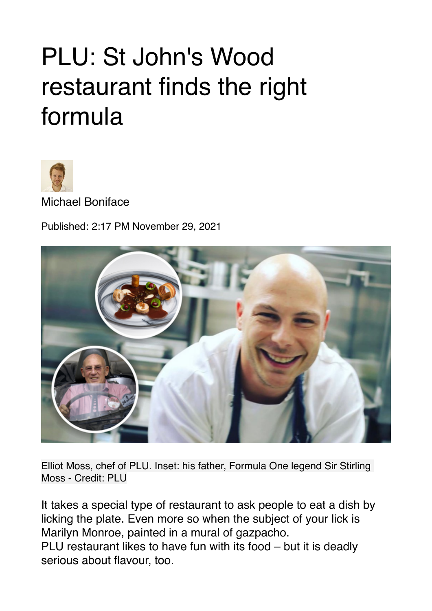## PLU: St John's Wood restaurant finds the right formula



Michael Boniface

Published: 2:17 PM November 29, 2021



Elliot Moss, chef of PLU. Inset: his father, Formula One legend Sir Stirling Moss - Credit: PLU

It takes a special type of restaurant to ask people to eat a dish by licking the plate. Even more so when the subject of your lick is Marilyn Monroe, painted in a mural of gazpacho. PLU restaurant likes to have fun with its food – but it is deadly serious about flavour, too.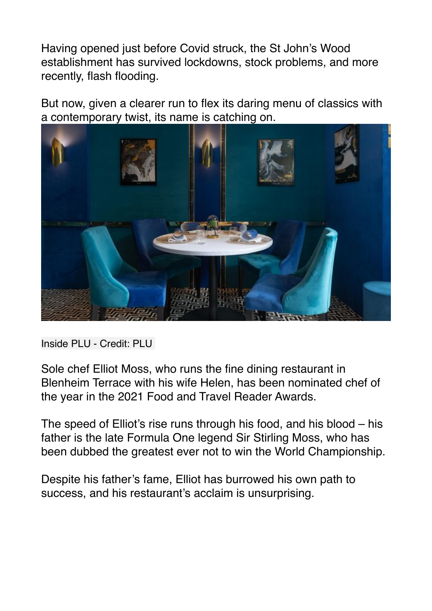Having opened just before Covid struck, the St John's Wood establishment has survived lockdowns, stock problems, and more recently, flash flooding.

But now, given a clearer run to flex its daring menu of classics with a contemporary twist, its name is catching on.



Inside PLU - Credit: PLU

Sole chef Elliot Moss, who runs the fine dining restaurant in Blenheim Terrace with his wife Helen, has been nominated chef of the year in the 2021 Food and Travel Reader Awards.

The speed of Elliot's rise runs through his food, and his blood – his father is the late Formula One legend Sir Stirling Moss, who has been dubbed the greatest ever not to win the World Championship.

Despite his father's fame, Elliot has burrowed his own path to success, and his restaurant's acclaim is unsurprising.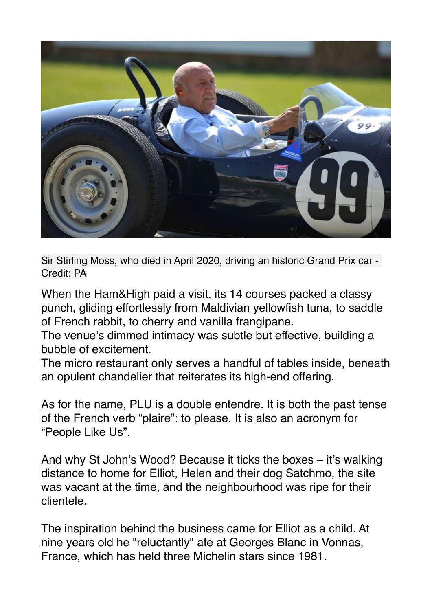

Sir Stirling Moss, who died in April 2020, driving an historic Grand Prix car - Credit: PA

When the Ham&High paid a visit, its 14 courses packed a classy punch, gliding effortlessly from Maldivian yellowfish tuna, to saddle of French rabbit, to cherry and vanilla frangipane.

The venue's dimmed intimacy was subtle but effective, building a bubble of excitement.

The micro restaurant only serves a handful of tables inside, beneath an opulent chandelier that reiterates its high-end offering.

As for the name, PLU is a double entendre. It is both the past tense of the French verb "plaire": to please. It is also an acronym for "People Like Us".

And why St John's Wood? Because it ticks the boxes – it's walking distance to home for Elliot, Helen and their dog Satchmo, the site was vacant at the time, and the neighbourhood was ripe for their clientele.

The inspiration behind the business came for Elliot as a child. At nine years old he "reluctantly" ate at Georges Blanc in Vonnas, France, which has held three Michelin stars since 1981.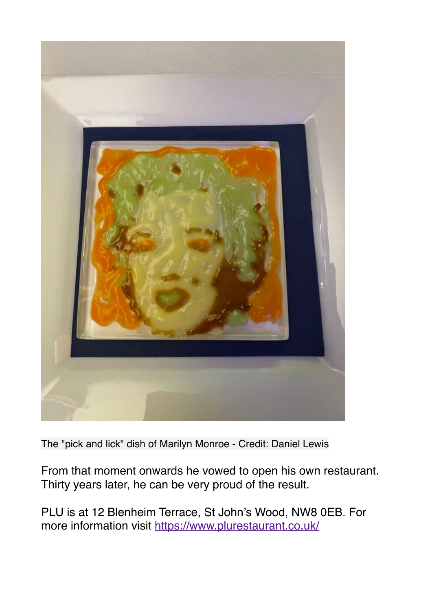

The "pick and lick" dish of Marilyn Monroe - Credit: Daniel Lewis

From that moment onwards he vowed to open his own restaurant. Thirty years later, he can be very proud of the result.

PLU is at 12 Blenheim Terrace, St John's Wood, NW8 0EB. For more information visit<https://www.plurestaurant.co.uk/>